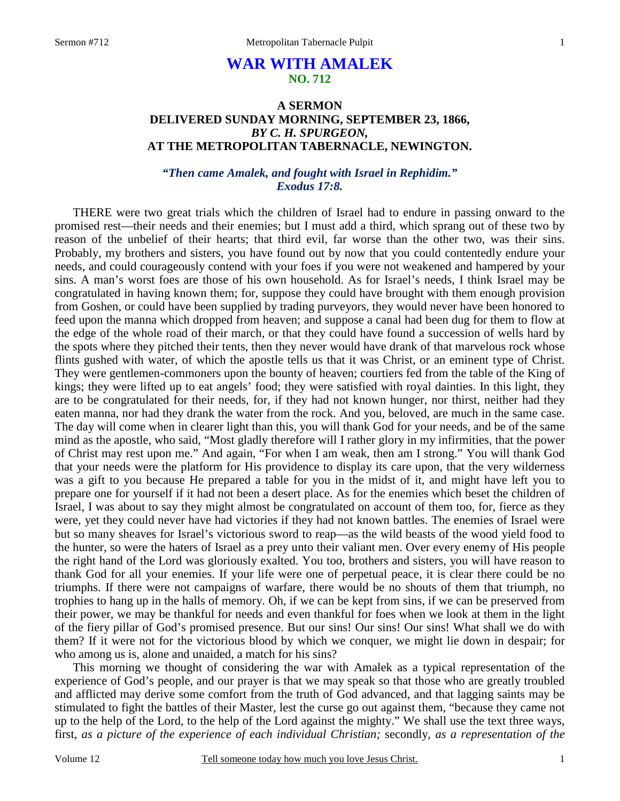# **WAR WITH AMALEK NO. 712**

# **A SERMON DELIVERED SUNDAY MORNING, SEPTEMBER 23, 1866,**  *BY C. H. SPURGEON,*  **AT THE METROPOLITAN TABERNACLE, NEWINGTON.**

# *"Then came Amalek, and fought with Israel in Rephidim." Exodus 17:8.*

THERE were two great trials which the children of Israel had to endure in passing onward to the promised rest—their needs and their enemies; but I must add a third, which sprang out of these two by reason of the unbelief of their hearts; that third evil, far worse than the other two, was their sins. Probably, my brothers and sisters, you have found out by now that you could contentedly endure your needs, and could courageously contend with your foes if you were not weakened and hampered by your sins. A man's worst foes are those of his own household. As for Israel's needs, I think Israel may be congratulated in having known them; for, suppose they could have brought with them enough provision from Goshen, or could have been supplied by trading purveyors, they would never have been honored to feed upon the manna which dropped from heaven; and suppose a canal had been dug for them to flow at the edge of the whole road of their march, or that they could have found a succession of wells hard by the spots where they pitched their tents, then they never would have drank of that marvelous rock whose flints gushed with water, of which the apostle tells us that it was Christ, or an eminent type of Christ. They were gentlemen-commoners upon the bounty of heaven; courtiers fed from the table of the King of kings; they were lifted up to eat angels' food; they were satisfied with royal dainties. In this light, they are to be congratulated for their needs, for, if they had not known hunger, nor thirst, neither had they eaten manna, nor had they drank the water from the rock. And you, beloved, are much in the same case. The day will come when in clearer light than this, you will thank God for your needs, and be of the same mind as the apostle, who said, "Most gladly therefore will I rather glory in my infirmities, that the power of Christ may rest upon me." And again, "For when I am weak, then am I strong." You will thank God that your needs were the platform for His providence to display its care upon, that the very wilderness was a gift to you because He prepared a table for you in the midst of it, and might have left you to prepare one for yourself if it had not been a desert place. As for the enemies which beset the children of Israel, I was about to say they might almost be congratulated on account of them too, for, fierce as they were, yet they could never have had victories if they had not known battles. The enemies of Israel were but so many sheaves for Israel's victorious sword to reap—as the wild beasts of the wood yield food to the hunter, so were the haters of Israel as a prey unto their valiant men. Over every enemy of His people the right hand of the Lord was gloriously exalted. You too, brothers and sisters, you will have reason to thank God for all your enemies. If your life were one of perpetual peace, it is clear there could be no triumphs. If there were not campaigns of warfare, there would be no shouts of them that triumph, no trophies to hang up in the halls of memory. Oh, if we can be kept from sins, if we can be preserved from their power, we may be thankful for needs and even thankful for foes when we look at them in the light of the fiery pillar of God's promised presence. But our sins! Our sins! Our sins! What shall we do with them? If it were not for the victorious blood by which we conquer, we might lie down in despair; for who among us is, alone and unaided, a match for his sins?

This morning we thought of considering the war with Amalek as a typical representation of the experience of God's people, and our prayer is that we may speak so that those who are greatly troubled and afflicted may derive some comfort from the truth of God advanced, and that lagging saints may be stimulated to fight the battles of their Master, lest the curse go out against them, "because they came not up to the help of the Lord, to the help of the Lord against the mighty." We shall use the text three ways, first, *as a picture of the experience of each individual Christian;* secondly, *as a representation of the*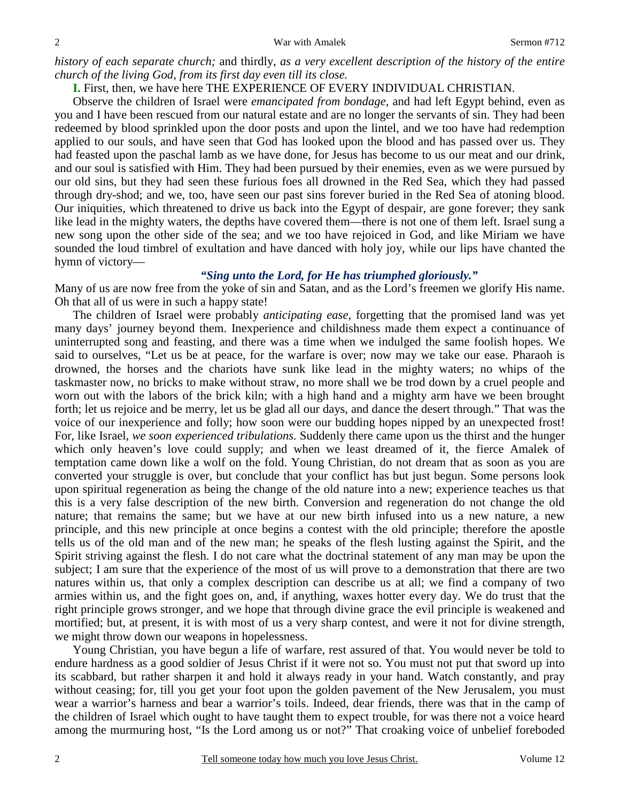*history of each separate church;* and thirdly, *as a very excellent description of the history of the entire church of the living God, from its first day even till its close.*

**I.** First, then, we have here THE EXPERIENCE OF EVERY INDIVIDUAL CHRISTIAN.

Observe the children of Israel were *emancipated from bondage,* and had left Egypt behind, even as you and I have been rescued from our natural estate and are no longer the servants of sin. They had been redeemed by blood sprinkled upon the door posts and upon the lintel, and we too have had redemption applied to our souls, and have seen that God has looked upon the blood and has passed over us. They had feasted upon the paschal lamb as we have done, for Jesus has become to us our meat and our drink, and our soul is satisfied with Him. They had been pursued by their enemies, even as we were pursued by our old sins, but they had seen these furious foes all drowned in the Red Sea, which they had passed through dry-shod; and we, too, have seen our past sins forever buried in the Red Sea of atoning blood. Our iniquities, which threatened to drive us back into the Egypt of despair, are gone forever; they sank like lead in the mighty waters, the depths have covered them—there is not one of them left. Israel sung a new song upon the other side of the sea; and we too have rejoiced in God, and like Miriam we have sounded the loud timbrel of exultation and have danced with holy joy, while our lips have chanted the hymn of victory—

### *"Sing unto the Lord, for He has triumphed gloriously."*

Many of us are now free from the yoke of sin and Satan, and as the Lord's freemen we glorify His name. Oh that all of us were in such a happy state!

The children of Israel were probably *anticipating ease,* forgetting that the promised land was yet many days' journey beyond them. Inexperience and childishness made them expect a continuance of uninterrupted song and feasting, and there was a time when we indulged the same foolish hopes. We said to ourselves, "Let us be at peace, for the warfare is over; now may we take our ease. Pharaoh is drowned, the horses and the chariots have sunk like lead in the mighty waters; no whips of the taskmaster now, no bricks to make without straw, no more shall we be trod down by a cruel people and worn out with the labors of the brick kiln; with a high hand and a mighty arm have we been brought forth; let us rejoice and be merry, let us be glad all our days, and dance the desert through." That was the voice of our inexperience and folly; how soon were our budding hopes nipped by an unexpected frost! For, like Israel, *we soon experienced tribulations.* Suddenly there came upon us the thirst and the hunger which only heaven's love could supply; and when we least dreamed of it, the fierce Amalek of temptation came down like a wolf on the fold. Young Christian, do not dream that as soon as you are converted your struggle is over, but conclude that your conflict has but just begun. Some persons look upon spiritual regeneration as being the change of the old nature into a new; experience teaches us that this is a very false description of the new birth. Conversion and regeneration do not change the old nature; that remains the same; but we have at our new birth infused into us a new nature, a new principle, and this new principle at once begins a contest with the old principle; therefore the apostle tells us of the old man and of the new man; he speaks of the flesh lusting against the Spirit, and the Spirit striving against the flesh. I do not care what the doctrinal statement of any man may be upon the subject; I am sure that the experience of the most of us will prove to a demonstration that there are two natures within us, that only a complex description can describe us at all; we find a company of two armies within us, and the fight goes on, and, if anything, waxes hotter every day. We do trust that the right principle grows stronger, and we hope that through divine grace the evil principle is weakened and mortified; but, at present, it is with most of us a very sharp contest, and were it not for divine strength, we might throw down our weapons in hopelessness.

Young Christian, you have begun a life of warfare, rest assured of that. You would never be told to endure hardness as a good soldier of Jesus Christ if it were not so. You must not put that sword up into its scabbard, but rather sharpen it and hold it always ready in your hand. Watch constantly, and pray without ceasing; for, till you get your foot upon the golden pavement of the New Jerusalem, you must wear a warrior's harness and bear a warrior's toils. Indeed, dear friends, there was that in the camp of the children of Israel which ought to have taught them to expect trouble, for was there not a voice heard among the murmuring host, "Is the Lord among us or not?" That croaking voice of unbelief foreboded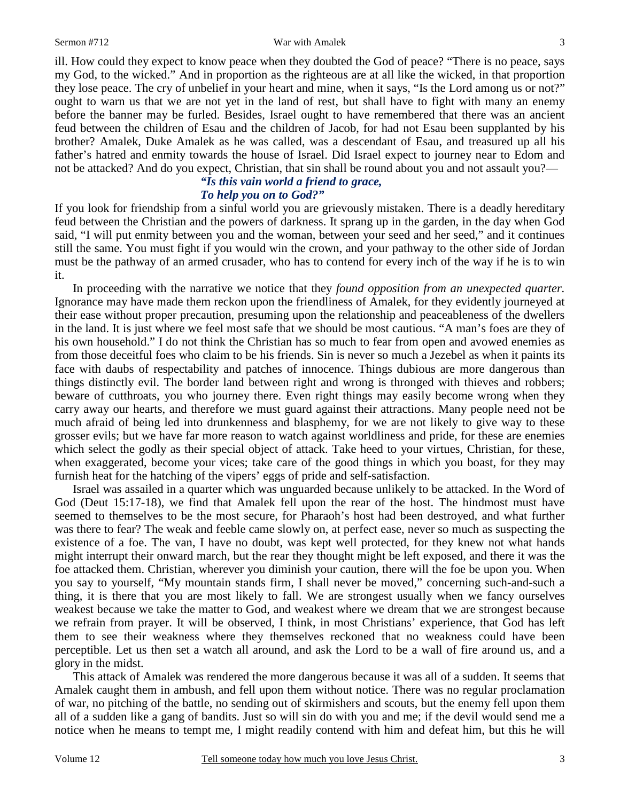#### Sermon #712 War with Amalek

ill. How could they expect to know peace when they doubted the God of peace? "There is no peace, says my God, to the wicked." And in proportion as the righteous are at all like the wicked, in that proportion they lose peace. The cry of unbelief in your heart and mine, when it says, "Is the Lord among us or not?" ought to warn us that we are not yet in the land of rest, but shall have to fight with many an enemy before the banner may be furled. Besides, Israel ought to have remembered that there was an ancient feud between the children of Esau and the children of Jacob, for had not Esau been supplanted by his brother? Amalek, Duke Amalek as he was called, was a descendant of Esau, and treasured up all his father's hatred and enmity towards the house of Israel. Did Israel expect to journey near to Edom and not be attacked? And do you expect, Christian, that sin shall be round about you and not assault you?—

### *"Is this vain world a friend to grace, To help you on to God?"*

If you look for friendship from a sinful world you are grievously mistaken. There is a deadly hereditary feud between the Christian and the powers of darkness. It sprang up in the garden, in the day when God said, "I will put enmity between you and the woman, between your seed and her seed," and it continues still the same. You must fight if you would win the crown, and your pathway to the other side of Jordan must be the pathway of an armed crusader, who has to contend for every inch of the way if he is to win it.

In proceeding with the narrative we notice that they *found opposition from an unexpected quarter.* Ignorance may have made them reckon upon the friendliness of Amalek, for they evidently journeyed at their ease without proper precaution, presuming upon the relationship and peaceableness of the dwellers in the land. It is just where we feel most safe that we should be most cautious. "A man's foes are they of his own household." I do not think the Christian has so much to fear from open and avowed enemies as from those deceitful foes who claim to be his friends. Sin is never so much a Jezebel as when it paints its face with daubs of respectability and patches of innocence. Things dubious are more dangerous than things distinctly evil. The border land between right and wrong is thronged with thieves and robbers; beware of cutthroats, you who journey there. Even right things may easily become wrong when they carry away our hearts, and therefore we must guard against their attractions. Many people need not be much afraid of being led into drunkenness and blasphemy, for we are not likely to give way to these grosser evils; but we have far more reason to watch against worldliness and pride, for these are enemies which select the godly as their special object of attack. Take heed to your virtues, Christian, for these, when exaggerated, become your vices; take care of the good things in which you boast, for they may furnish heat for the hatching of the vipers' eggs of pride and self-satisfaction.

Israel was assailed in a quarter which was unguarded because unlikely to be attacked. In the Word of God (Deut 15:17-18), we find that Amalek fell upon the rear of the host. The hindmost must have seemed to themselves to be the most secure, for Pharaoh's host had been destroyed, and what further was there to fear? The weak and feeble came slowly on, at perfect ease, never so much as suspecting the existence of a foe. The van, I have no doubt, was kept well protected, for they knew not what hands might interrupt their onward march, but the rear they thought might be left exposed, and there it was the foe attacked them. Christian, wherever you diminish your caution, there will the foe be upon you. When you say to yourself, "My mountain stands firm, I shall never be moved," concerning such-and-such a thing, it is there that you are most likely to fall. We are strongest usually when we fancy ourselves weakest because we take the matter to God, and weakest where we dream that we are strongest because we refrain from prayer. It will be observed, I think, in most Christians' experience, that God has left them to see their weakness where they themselves reckoned that no weakness could have been perceptible. Let us then set a watch all around, and ask the Lord to be a wall of fire around us, and a glory in the midst.

This attack of Amalek was rendered the more dangerous because it was all of a sudden. It seems that Amalek caught them in ambush, and fell upon them without notice. There was no regular proclamation of war, no pitching of the battle, no sending out of skirmishers and scouts, but the enemy fell upon them all of a sudden like a gang of bandits. Just so will sin do with you and me; if the devil would send me a notice when he means to tempt me, I might readily contend with him and defeat him, but this he will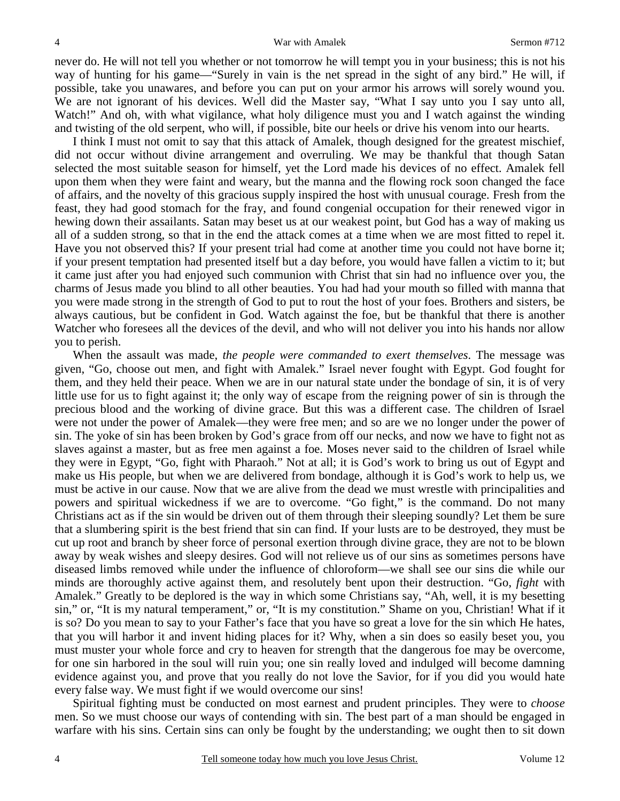never do. He will not tell you whether or not tomorrow he will tempt you in your business; this is not his way of hunting for his game—"Surely in vain is the net spread in the sight of any bird." He will, if possible, take you unawares, and before you can put on your armor his arrows will sorely wound you. We are not ignorant of his devices. Well did the Master say, "What I say unto you I say unto all, Watch!" And oh, with what vigilance, what holy diligence must you and I watch against the winding and twisting of the old serpent, who will, if possible, bite our heels or drive his venom into our hearts.

I think I must not omit to say that this attack of Amalek, though designed for the greatest mischief, did not occur without divine arrangement and overruling. We may be thankful that though Satan selected the most suitable season for himself, yet the Lord made his devices of no effect. Amalek fell upon them when they were faint and weary, but the manna and the flowing rock soon changed the face of affairs, and the novelty of this gracious supply inspired the host with unusual courage. Fresh from the feast, they had good stomach for the fray, and found congenial occupation for their renewed vigor in hewing down their assailants. Satan may beset us at our weakest point, but God has a way of making us all of a sudden strong, so that in the end the attack comes at a time when we are most fitted to repel it. Have you not observed this? If your present trial had come at another time you could not have borne it; if your present temptation had presented itself but a day before, you would have fallen a victim to it; but it came just after you had enjoyed such communion with Christ that sin had no influence over you, the charms of Jesus made you blind to all other beauties. You had had your mouth so filled with manna that you were made strong in the strength of God to put to rout the host of your foes. Brothers and sisters, be always cautious, but be confident in God. Watch against the foe, but be thankful that there is another Watcher who foresees all the devices of the devil, and who will not deliver you into his hands nor allow you to perish.

When the assault was made, *the people were commanded to exert themselves*. The message was given, "Go, choose out men, and fight with Amalek." Israel never fought with Egypt. God fought for them, and they held their peace. When we are in our natural state under the bondage of sin, it is of very little use for us to fight against it; the only way of escape from the reigning power of sin is through the precious blood and the working of divine grace. But this was a different case. The children of Israel were not under the power of Amalek—they were free men; and so are we no longer under the power of sin. The yoke of sin has been broken by God's grace from off our necks, and now we have to fight not as slaves against a master, but as free men against a foe. Moses never said to the children of Israel while they were in Egypt, "Go, fight with Pharaoh." Not at all; it is God's work to bring us out of Egypt and make us His people, but when we are delivered from bondage, although it is God's work to help us, we must be active in our cause. Now that we are alive from the dead we must wrestle with principalities and powers and spiritual wickedness if we are to overcome. "Go fight," is the command. Do not many Christians act as if the sin would be driven out of them through their sleeping soundly? Let them be sure that a slumbering spirit is the best friend that sin can find. If your lusts are to be destroyed, they must be cut up root and branch by sheer force of personal exertion through divine grace, they are not to be blown away by weak wishes and sleepy desires. God will not relieve us of our sins as sometimes persons have diseased limbs removed while under the influence of chloroform—we shall see our sins die while our minds are thoroughly active against them, and resolutely bent upon their destruction. "Go, *fight* with Amalek." Greatly to be deplored is the way in which some Christians say, "Ah, well, it is my besetting sin," or, "It is my natural temperament," or, "It is my constitution." Shame on you, Christian! What if it is so? Do you mean to say to your Father's face that you have so great a love for the sin which He hates, that you will harbor it and invent hiding places for it? Why, when a sin does so easily beset you, you must muster your whole force and cry to heaven for strength that the dangerous foe may be overcome, for one sin harbored in the soul will ruin you; one sin really loved and indulged will become damning evidence against you, and prove that you really do not love the Savior, for if you did you would hate every false way. We must fight if we would overcome our sins!

Spiritual fighting must be conducted on most earnest and prudent principles. They were to *choose* men. So we must choose our ways of contending with sin. The best part of a man should be engaged in warfare with his sins. Certain sins can only be fought by the understanding; we ought then to sit down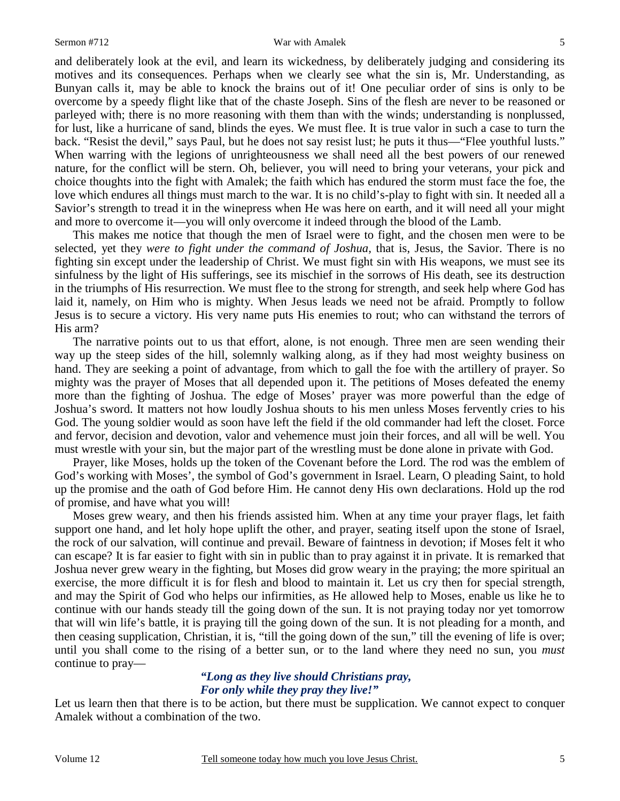#### Sermon #712 War with Amalek

and deliberately look at the evil, and learn its wickedness, by deliberately judging and considering its motives and its consequences. Perhaps when we clearly see what the sin is, Mr. Understanding, as Bunyan calls it, may be able to knock the brains out of it! One peculiar order of sins is only to be overcome by a speedy flight like that of the chaste Joseph. Sins of the flesh are never to be reasoned or parleyed with; there is no more reasoning with them than with the winds; understanding is nonplussed, for lust, like a hurricane of sand, blinds the eyes. We must flee. It is true valor in such a case to turn the back. "Resist the devil," says Paul, but he does not say resist lust; he puts it thus—"Flee youthful lusts." When warring with the legions of unrighteousness we shall need all the best powers of our renewed nature, for the conflict will be stern. Oh, believer, you will need to bring your veterans, your pick and choice thoughts into the fight with Amalek; the faith which has endured the storm must face the foe, the love which endures all things must march to the war. It is no child's-play to fight with sin. It needed all a Savior's strength to tread it in the winepress when He was here on earth, and it will need all your might and more to overcome it—you will only overcome it indeed through the blood of the Lamb.

This makes me notice that though the men of Israel were to fight, and the chosen men were to be selected, yet they *were to fight under the command of Joshua,* that is, Jesus, the Savior. There is no fighting sin except under the leadership of Christ. We must fight sin with His weapons, we must see its sinfulness by the light of His sufferings, see its mischief in the sorrows of His death, see its destruction in the triumphs of His resurrection. We must flee to the strong for strength, and seek help where God has laid it, namely, on Him who is mighty. When Jesus leads we need not be afraid. Promptly to follow Jesus is to secure a victory. His very name puts His enemies to rout; who can withstand the terrors of His arm?

The narrative points out to us that effort, alone, is not enough. Three men are seen wending their way up the steep sides of the hill, solemnly walking along, as if they had most weighty business on hand. They are seeking a point of advantage, from which to gall the foe with the artillery of prayer. So mighty was the prayer of Moses that all depended upon it. The petitions of Moses defeated the enemy more than the fighting of Joshua. The edge of Moses' prayer was more powerful than the edge of Joshua's sword. It matters not how loudly Joshua shouts to his men unless Moses fervently cries to his God. The young soldier would as soon have left the field if the old commander had left the closet. Force and fervor, decision and devotion, valor and vehemence must join their forces, and all will be well. You must wrestle with your sin, but the major part of the wrestling must be done alone in private with God.

Prayer, like Moses, holds up the token of the Covenant before the Lord. The rod was the emblem of God's working with Moses', the symbol of God's government in Israel. Learn, O pleading Saint, to hold up the promise and the oath of God before Him. He cannot deny His own declarations. Hold up the rod of promise, and have what you will!

Moses grew weary, and then his friends assisted him. When at any time your prayer flags, let faith support one hand, and let holy hope uplift the other, and prayer, seating itself upon the stone of Israel, the rock of our salvation, will continue and prevail. Beware of faintness in devotion; if Moses felt it who can escape? It is far easier to fight with sin in public than to pray against it in private. It is remarked that Joshua never grew weary in the fighting, but Moses did grow weary in the praying; the more spiritual an exercise, the more difficult it is for flesh and blood to maintain it. Let us cry then for special strength, and may the Spirit of God who helps our infirmities, as He allowed help to Moses, enable us like he to continue with our hands steady till the going down of the sun. It is not praying today nor yet tomorrow that will win life's battle, it is praying till the going down of the sun. It is not pleading for a month, and then ceasing supplication, Christian, it is, "till the going down of the sun," till the evening of life is over; until you shall come to the rising of a better sun, or to the land where they need no sun, you *must* continue to pray—

## *"Long as they live should Christians pray, For only while they pray they live!"*

Let us learn then that there is to be action, but there must be supplication. We cannot expect to conquer Amalek without a combination of the two.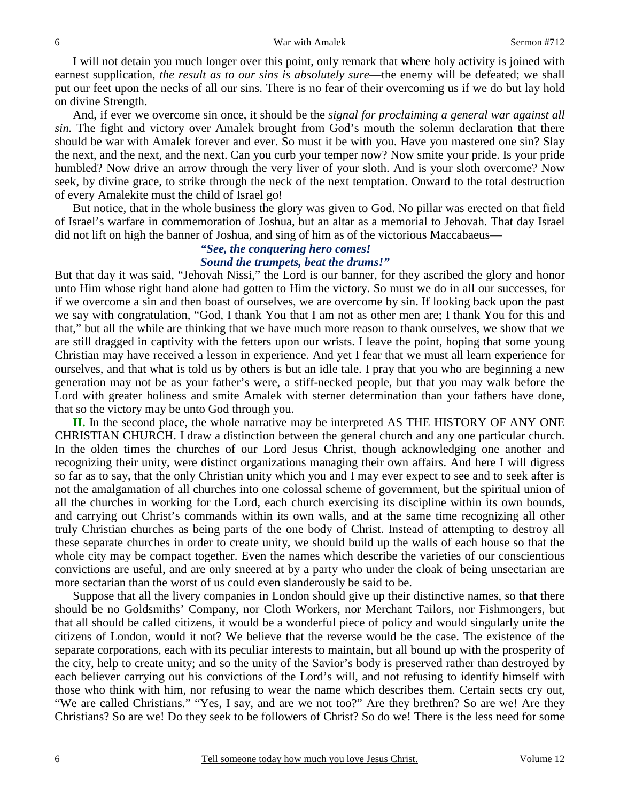I will not detain you much longer over this point, only remark that where holy activity is joined with earnest supplication, *the result as to our sins is absolutely sure*—the enemy will be defeated; we shall put our feet upon the necks of all our sins. There is no fear of their overcoming us if we do but lay hold on divine Strength.

And, if ever we overcome sin once, it should be the *signal for proclaiming a general war against all sin.* The fight and victory over Amalek brought from God's mouth the solemn declaration that there should be war with Amalek forever and ever. So must it be with you. Have you mastered one sin? Slay the next, and the next, and the next. Can you curb your temper now? Now smite your pride. Is your pride humbled? Now drive an arrow through the very liver of your sloth. And is your sloth overcome? Now seek, by divine grace, to strike through the neck of the next temptation. Onward to the total destruction of every Amalekite must the child of Israel go!

But notice, that in the whole business the glory was given to God. No pillar was erected on that field of Israel's warfare in commemoration of Joshua, but an altar as a memorial to Jehovah. That day Israel did not lift on high the banner of Joshua, and sing of him as of the victorious Maccabaeus—

# *"See, the conquering hero comes! Sound the trumpets, beat the drums!"*

But that day it was said, "Jehovah Nissi," the Lord is our banner, for they ascribed the glory and honor unto Him whose right hand alone had gotten to Him the victory. So must we do in all our successes, for if we overcome a sin and then boast of ourselves, we are overcome by sin. If looking back upon the past we say with congratulation, "God, I thank You that I am not as other men are; I thank You for this and that," but all the while are thinking that we have much more reason to thank ourselves, we show that we are still dragged in captivity with the fetters upon our wrists. I leave the point, hoping that some young Christian may have received a lesson in experience. And yet I fear that we must all learn experience for ourselves, and that what is told us by others is but an idle tale. I pray that you who are beginning a new generation may not be as your father's were, a stiff-necked people, but that you may walk before the Lord with greater holiness and smite Amalek with sterner determination than your fathers have done, that so the victory may be unto God through you.

**II.** In the second place, the whole narrative may be interpreted AS THE HISTORY OF ANY ONE CHRISTIAN CHURCH. I draw a distinction between the general church and any one particular church. In the olden times the churches of our Lord Jesus Christ, though acknowledging one another and recognizing their unity, were distinct organizations managing their own affairs. And here I will digress so far as to say, that the only Christian unity which you and I may ever expect to see and to seek after is not the amalgamation of all churches into one colossal scheme of government, but the spiritual union of all the churches in working for the Lord, each church exercising its discipline within its own bounds, and carrying out Christ's commands within its own walls, and at the same time recognizing all other truly Christian churches as being parts of the one body of Christ. Instead of attempting to destroy all these separate churches in order to create unity, we should build up the walls of each house so that the whole city may be compact together. Even the names which describe the varieties of our conscientious convictions are useful, and are only sneered at by a party who under the cloak of being unsectarian are more sectarian than the worst of us could even slanderously be said to be.

Suppose that all the livery companies in London should give up their distinctive names, so that there should be no Goldsmiths' Company, nor Cloth Workers, nor Merchant Tailors, nor Fishmongers, but that all should be called citizens, it would be a wonderful piece of policy and would singularly unite the citizens of London, would it not? We believe that the reverse would be the case. The existence of the separate corporations, each with its peculiar interests to maintain, but all bound up with the prosperity of the city, help to create unity; and so the unity of the Savior's body is preserved rather than destroyed by each believer carrying out his convictions of the Lord's will, and not refusing to identify himself with those who think with him, nor refusing to wear the name which describes them. Certain sects cry out, "We are called Christians." "Yes, I say, and are we not too?" Are they brethren? So are we! Are they Christians? So are we! Do they seek to be followers of Christ? So do we! There is the less need for some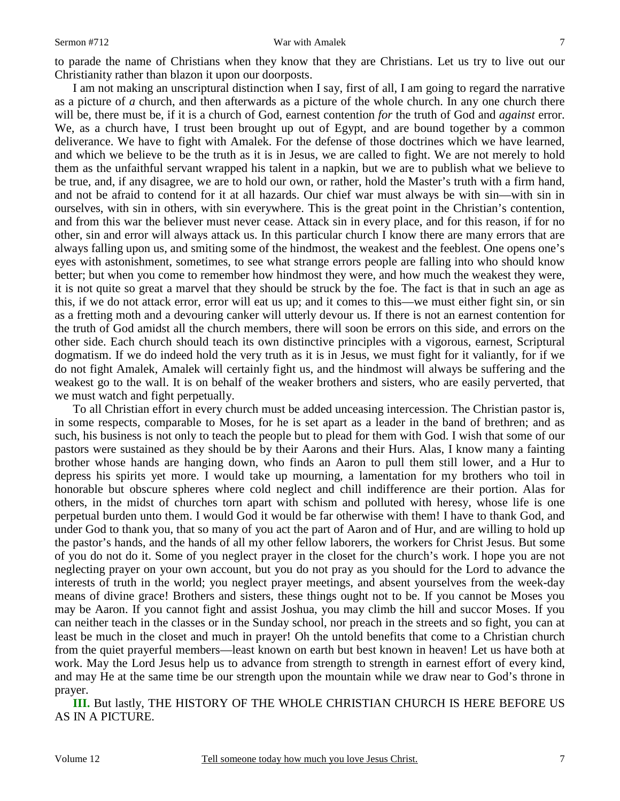#### Sermon #712 War with Amalek

to parade the name of Christians when they know that they are Christians. Let us try to live out our Christianity rather than blazon it upon our doorposts.

I am not making an unscriptural distinction when I say, first of all, I am going to regard the narrative as a picture of *a* church, and then afterwards as a picture of the whole church. In any one church there will be, there must be, if it is a church of God, earnest contention *for* the truth of God and *against* error. We, as a church have, I trust been brought up out of Egypt, and are bound together by a common deliverance. We have to fight with Amalek. For the defense of those doctrines which we have learned, and which we believe to be the truth as it is in Jesus, we are called to fight. We are not merely to hold them as the unfaithful servant wrapped his talent in a napkin, but we are to publish what we believe to be true, and, if any disagree, we are to hold our own, or rather, hold the Master's truth with a firm hand, and not be afraid to contend for it at all hazards. Our chief war must always be with sin—with sin in ourselves, with sin in others, with sin everywhere. This is the great point in the Christian's contention, and from this war the believer must never cease. Attack sin in every place, and for this reason, if for no other, sin and error will always attack us. In this particular church I know there are many errors that are always falling upon us, and smiting some of the hindmost, the weakest and the feeblest. One opens one's eyes with astonishment, sometimes, to see what strange errors people are falling into who should know better; but when you come to remember how hindmost they were, and how much the weakest they were, it is not quite so great a marvel that they should be struck by the foe. The fact is that in such an age as this, if we do not attack error, error will eat us up; and it comes to this—we must either fight sin, or sin as a fretting moth and a devouring canker will utterly devour us. If there is not an earnest contention for the truth of God amidst all the church members, there will soon be errors on this side, and errors on the other side. Each church should teach its own distinctive principles with a vigorous, earnest, Scriptural dogmatism. If we do indeed hold the very truth as it is in Jesus, we must fight for it valiantly, for if we do not fight Amalek, Amalek will certainly fight us, and the hindmost will always be suffering and the weakest go to the wall. It is on behalf of the weaker brothers and sisters, who are easily perverted, that we must watch and fight perpetually.

To all Christian effort in every church must be added unceasing intercession. The Christian pastor is, in some respects, comparable to Moses, for he is set apart as a leader in the band of brethren; and as such, his business is not only to teach the people but to plead for them with God. I wish that some of our pastors were sustained as they should be by their Aarons and their Hurs. Alas, I know many a fainting brother whose hands are hanging down, who finds an Aaron to pull them still lower, and a Hur to depress his spirits yet more. I would take up mourning, a lamentation for my brothers who toil in honorable but obscure spheres where cold neglect and chill indifference are their portion. Alas for others, in the midst of churches torn apart with schism and polluted with heresy, whose life is one perpetual burden unto them. I would God it would be far otherwise with them! I have to thank God, and under God to thank you, that so many of you act the part of Aaron and of Hur, and are willing to hold up the pastor's hands, and the hands of all my other fellow laborers, the workers for Christ Jesus. But some of you do not do it. Some of you neglect prayer in the closet for the church's work. I hope you are not neglecting prayer on your own account, but you do not pray as you should for the Lord to advance the interests of truth in the world; you neglect prayer meetings, and absent yourselves from the week-day means of divine grace! Brothers and sisters, these things ought not to be. If you cannot be Moses you may be Aaron. If you cannot fight and assist Joshua, you may climb the hill and succor Moses. If you can neither teach in the classes or in the Sunday school, nor preach in the streets and so fight, you can at least be much in the closet and much in prayer! Oh the untold benefits that come to a Christian church from the quiet prayerful members—least known on earth but best known in heaven! Let us have both at work. May the Lord Jesus help us to advance from strength to strength in earnest effort of every kind, and may He at the same time be our strength upon the mountain while we draw near to God's throne in prayer.

**III.** But lastly, THE HISTORY OF THE WHOLE CHRISTIAN CHURCH IS HERE BEFORE US AS IN A PICTURE.